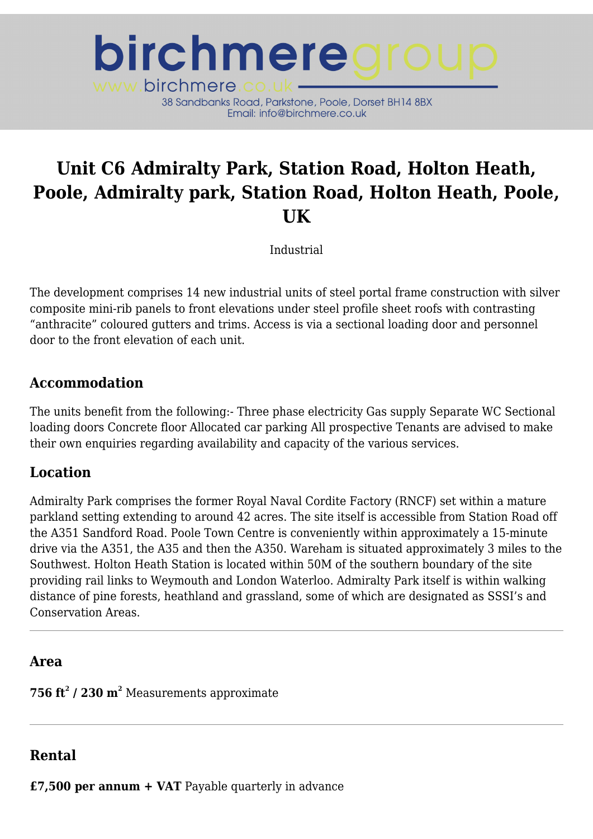

# **Unit C6 Admiralty Park, Station Road, Holton Heath, Poole, Admiralty park, Station Road, Holton Heath, Poole, UK**

Industrial

The development comprises 14 new industrial units of steel portal frame construction with silver composite mini-rib panels to front elevations under steel profile sheet roofs with contrasting "anthracite" coloured gutters and trims. Access is via a sectional loading door and personnel door to the front elevation of each unit.

### **Accommodation**

The units benefit from the following:- Three phase electricity Gas supply Separate WC Sectional loading doors Concrete floor Allocated car parking All prospective Tenants are advised to make their own enquiries regarding availability and capacity of the various services.

## **Location**

Admiralty Park comprises the former Royal Naval Cordite Factory (RNCF) set within a mature parkland setting extending to around 42 acres. The site itself is accessible from Station Road off the A351 Sandford Road. Poole Town Centre is conveniently within approximately a 15-minute drive via the A351, the A35 and then the A350. Wareham is situated approximately 3 miles to the Southwest. Holton Heath Station is located within 50M of the southern boundary of the site providing rail links to Weymouth and London Waterloo. Admiralty Park itself is within walking distance of pine forests, heathland and grassland, some of which are designated as SSSI's and Conservation Areas.

#### **Area**

**756 ft<sup>2</sup> / 230 m 2** Measurements approximate

## **Rental**

**£7,500 per annum + VAT** Payable quarterly in advance